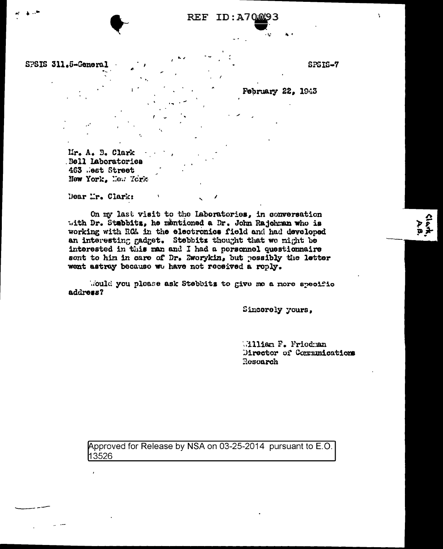## **REF ID: A70.093**

SPSIS 311.5-General

SPSIS-7

**Clurk**<br>Ara

**February 22, 1943** 

Mr. A. B. Clark Bell Laboratories 463 .est Street New York, New York

Dear Mr. Clark:

On my last visit to the Laboratories, in conversation with Dr. Stabbitz, he mentioned a Dr. John Rajohman who is working with RCA in the electronics field and had developed an interesting gadget. Stebbitz thought that we might be interested in this man and I had a personnel questionnaire sont to him in care of Dr. Zworykin, but possibly the letter went astray because we have not received a reply.

Would you please ask Stebbits to give me a more specific address?

Sincorely yours,

William F. Friedman Director of Communications Research

Approved for Release by NSA on 03-25-2014 pursuant to E.O. 13526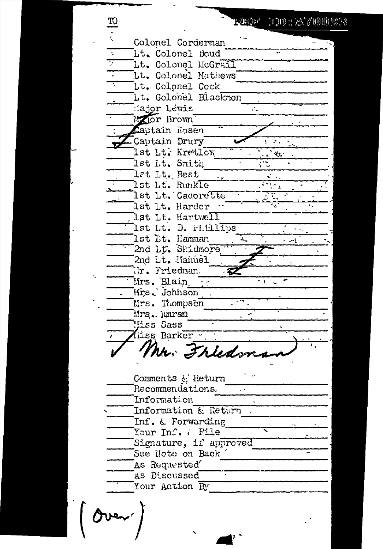$\frac{3}{2}$  $100:2000023$ r Shahra Colonel Corderman Lt. Colonel Doud Ţ I.t. Colonel McGrail Lt. Colonel Mathews lt. Celonel Cock Lt. Golonel Blacknon .<br>Hajor Lewis è. Hanor Brown Laptain Rosen Captain Drury **College** Ist Lt. Kretlow ી પ્યુન lst Lt. Smith राष्ट्र lst Lt. Best  $\mathcal{L}^{\mathcal{L}}$ स्तर् lst Lt. Runkle lst Lt. Cadorette 1st Lt. Harder  ${\tt 1st\ It.}$  Hartwe ${\overline {\tt l1}}$ lst Lt. D. Phillips .<br>1st 1t. Hamman 2nd Lt. Shidmore 2nd Lt. Manuel ir. Friednan Mrs. Blain 57 Mrs. Johnson Mrs. Thompson Mrs. Amram Miss Sass iiss Barker Mr. Frieds Comments & Return Recommendations. Information Information & Return. Inf. & Forwarding Your Inf. ( File Signature, if approved See Note on Back As Requested AS Discussed Your Action By